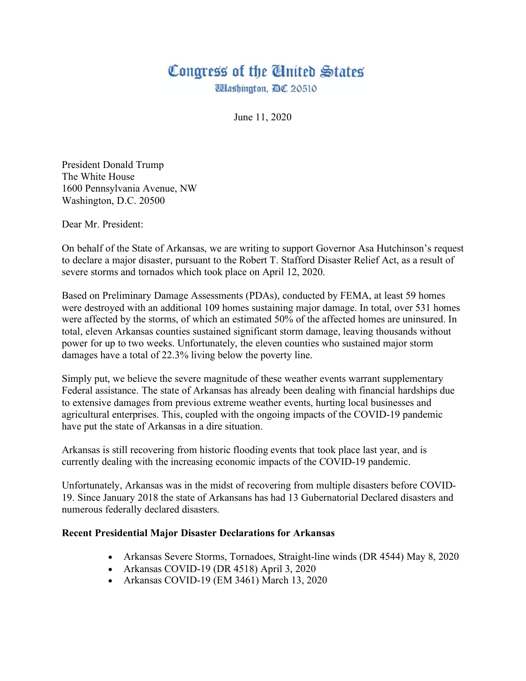## Congress of the United States

**Ulashington, DC 20510** 

June 11, 2020

President Donald Trump The White House 1600 Pennsylvania Avenue, NW Washington, D.C. 20500

Dear Mr. President:

On behalf of the State of Arkansas, we are writing to support Governor Asa Hutchinson's request to declare a major disaster, pursuant to the Robert T. Stafford Disaster Relief Act, as a result of severe storms and tornados which took place on April 12, 2020.

Based on Preliminary Damage Assessments (PDAs), conducted by FEMA, at least 59 homes were destroyed with an additional 109 homes sustaining major damage. In total, over 531 homes were affected by the storms, of which an estimated 50% of the affected homes are uninsured. In total, eleven Arkansas counties sustained significant storm damage, leaving thousands without power for up to two weeks. Unfortunately, the eleven counties who sustained major storm damages have a total of 22.3% living below the poverty line.

Simply put, we believe the severe magnitude of these weather events warrant supplementary Federal assistance. The state of Arkansas has already been dealing with financial hardships due to extensive damages from previous extreme weather events, hurting local businesses and agricultural enterprises. This, coupled with the ongoing impacts of the COVID-19 pandemic have put the state of Arkansas in a dire situation.

Arkansas is still recovering from historic flooding events that took place last year, and is currently dealing with the increasing economic impacts of the COVID-19 pandemic.

Unfortunately, Arkansas was in the midst of recovering from multiple disasters before COVID-19. Since January 2018 the state of Arkansans has had 13 Gubernatorial Declared disasters and numerous federally declared disasters.

## **Recent Presidential Major Disaster Declarations for Arkansas**

- Arkansas Severe Storms, Tornadoes, Straight-line winds (DR 4544) May 8, 2020
- Arkansas COVID-19 (DR 4518) April 3, 2020
- Arkansas COVID-19 (EM 3461) March 13, 2020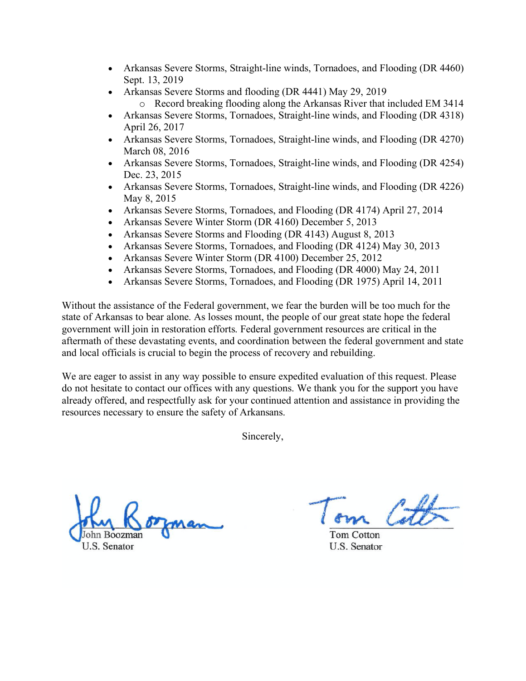- Arkansas Severe Storms, Straight-line winds, Tornadoes, and Flooding (DR 4460) Sept. 13, 2019
- Arkansas Severe Storms and flooding (DR 4441) May 29, 2019
	- o Record breaking flooding along the Arkansas River that included EM 3414
- Arkansas Severe Storms, Tornadoes, Straight-line winds, and Flooding (DR 4318) April 26, 2017
- Arkansas Severe Storms, Tornadoes, Straight-line winds, and Flooding (DR 4270) March 08, 2016
- Arkansas Severe Storms, Tornadoes, Straight-line winds, and Flooding (DR 4254) Dec. 23, 2015
- Arkansas Severe Storms, Tornadoes, Straight-line winds, and Flooding (DR 4226) May 8, 2015
- Arkansas Severe Storms, Tornadoes, and Flooding (DR 4174) April 27, 2014
- Arkansas Severe Winter Storm (DR 4160) December 5, 2013
- Arkansas Severe Storms and Flooding (DR 4143) August 8, 2013
- Arkansas Severe Storms, Tornadoes, and Flooding (DR 4124) May 30, 2013
- Arkansas Severe Winter Storm (DR 4100) December 25, 2012
- Arkansas Severe Storms, Tornadoes, and Flooding (DR 4000) May 24, 2011
- Arkansas Severe Storms, Tornadoes, and Flooding (DR 1975) April 14, 2011

Without the assistance of the Federal government, we fear the burden will be too much for the state of Arkansas to bear alone. As losses mount, the people of our great state hope the federal government will join in restoration efforts. Federal government resources are critical in the aftermath of these devastating events, and coordination between the federal government and state and local officials is crucial to begin the process of recovery and rebuilding.

We are eager to assist in any way possible to ensure expedited evaluation of this request. Please do not hesitate to contact our offices with any questions. We thank you for the support you have already offered, and respectfully ask for your continued attention and assistance in providing the resources necessary to ensure the safety of Arkansans.

Sincerely,

ohn Boozmar

U.S. Senator

Tom Cotton **U.S. Senator**